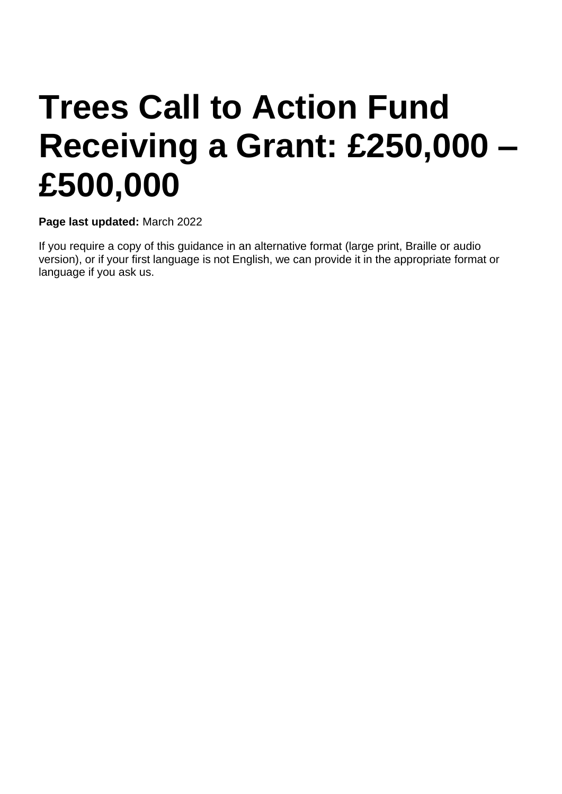# **Trees Call to Action Fund Receiving a Grant: £250,000 – £500,000**

**Page last updated:** March 2022

If you require a copy of this guidance in an alternative format (large print, Braille or audio version), or if your first language is not English, we can provide it in the appropriate format or language if you ask us.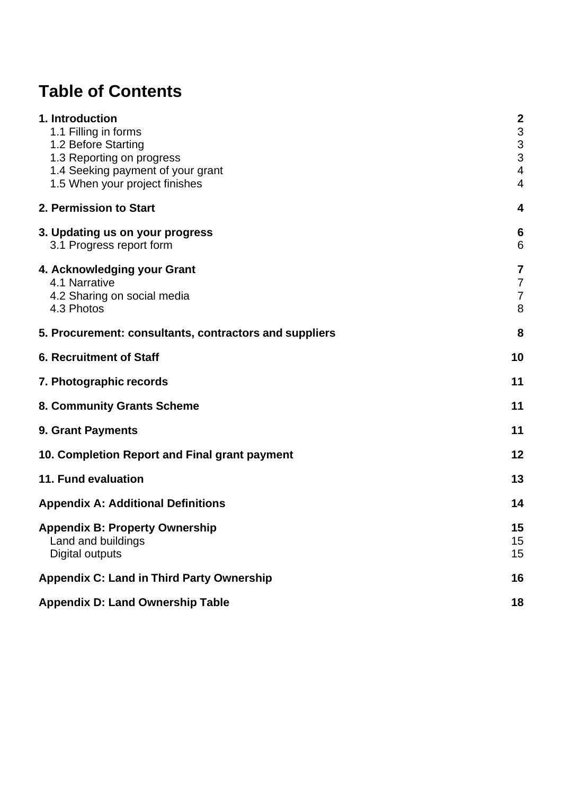# **Table of Contents**

| 1. Introduction                                        | $\boldsymbol{2}$          |
|--------------------------------------------------------|---------------------------|
| 1.1 Filling in forms                                   | 3                         |
| 1.2 Before Starting                                    | $\ensuremath{\mathsf{3}}$ |
| 1.3 Reporting on progress                              | 3                         |
| 1.4 Seeking payment of your grant                      | 4                         |
| 1.5 When your project finishes                         | 4                         |
|                                                        |                           |
| 2. Permission to Start                                 | 4                         |
| 3. Updating us on your progress                        | 6                         |
| 3.1 Progress report form                               | 6                         |
| 4. Acknowledging your Grant                            | $\overline{7}$            |
| 4.1 Narrative                                          | $\overline{7}$            |
| 4.2 Sharing on social media                            | $\overline{7}$            |
| 4.3 Photos                                             | 8                         |
| 5. Procurement: consultants, contractors and suppliers | 8                         |
| <b>6. Recruitment of Staff</b>                         | 10                        |
| 7. Photographic records                                | 11                        |
| 8. Community Grants Scheme                             | 11                        |
| 9. Grant Payments                                      | 11                        |
| 10. Completion Report and Final grant payment          | 12                        |
| 11. Fund evaluation                                    | 13                        |
| <b>Appendix A: Additional Definitions</b>              | 14                        |
| <b>Appendix B: Property Ownership</b>                  | 15                        |
| Land and buildings                                     | 15                        |
| Digital outputs                                        | 15                        |
|                                                        |                           |
| <b>Appendix C: Land in Third Party Ownership</b>       | 16                        |
| <b>Appendix D: Land Ownership Table</b>                | 18                        |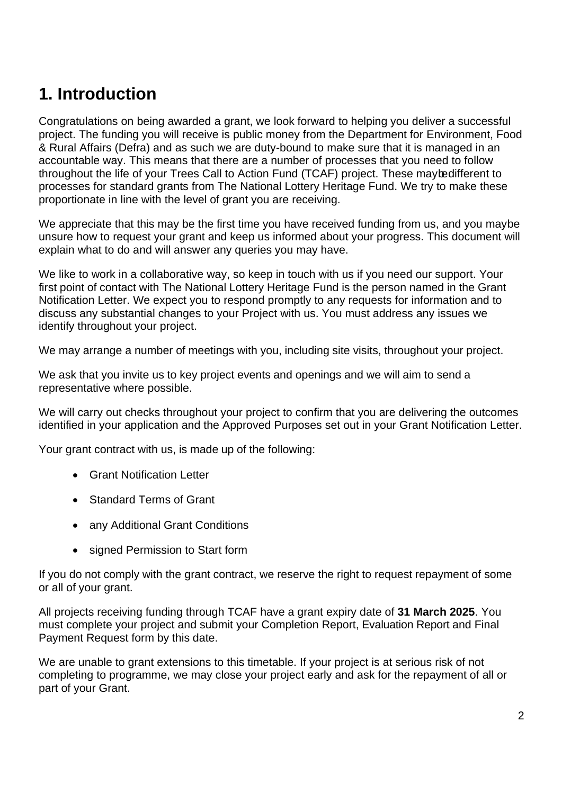# <span id="page-2-0"></span>**1. Introduction**

Congratulations on being awarded a grant, we look forward to helping you deliver a successful project. The funding you will receive is public money from the Department for Environment, Food & Rural Affairs (Defra) and as such we are duty-bound to make sure that it is managed in an accountable way. This means that there are a number of processes that you need to follow throughout the life of your Trees Call to Action Fund (TCAF) project. These maybedifferent to processes for standard grants from The National Lottery Heritage Fund. We try to make these proportionate in line with the level of grant you are receiving.

We appreciate that this may be the first time you have received funding from us, and you maybe unsure how to request your grant and keep us informed about your progress. This document will explain what to do and will answer any queries you may have.

We like to work in a collaborative way, so keep in touch with us if you need our support. Your first point of contact with The National Lottery Heritage Fund is the person named in the Grant Notification Letter. We expect you to respond promptly to any requests for information and to discuss any substantial changes to your Project with us. You must address any issues we identify throughout your project.

We may arrange a number of meetings with you, including site visits, throughout your project.

We ask that you invite us to key project events and openings and we will aim to send a representative where possible.

We will carry out checks throughout your project to confirm that you are delivering the outcomes identified in your application and the Approved Purposes set out in your Grant Notification Letter.

Your grant contract with us, is made up of the following:

- Grant Notification Letter
- Standard Terms of Grant
- any Additional Grant Conditions
- signed Permission to Start form

If you do not comply with the grant contract, we reserve the right to request repayment of some or all of your grant.

All projects receiving funding through TCAF have a grant expiry date of **31 March 2025**. You must complete your project and submit your Completion Report, Evaluation Report and Final Payment Request form by this date.

We are unable to grant extensions to this timetable. If your project is at serious risk of not completing to programme, we may close your project early and ask for the repayment of all or part of your Grant.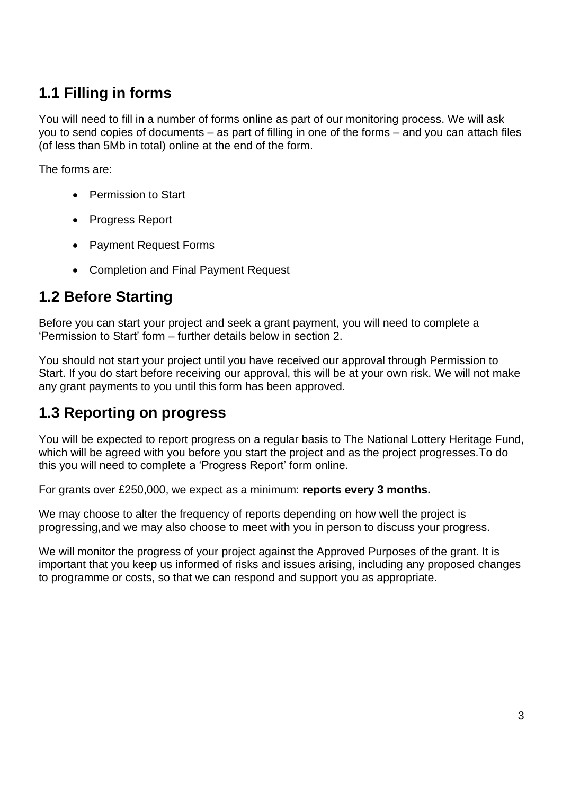## <span id="page-3-0"></span>**1.1 Filling in forms**

You will need to fill in a number of forms online as part of our monitoring process. We will ask you to send copies of documents – as part of filling in one of the forms – and you can attach files (of less than 5Mb in total) online at the end of the form.

The forms are:

- Permission to Start
- Progress Report
- Payment Request Forms
- Completion and Final Payment Request

## <span id="page-3-1"></span>**1.2 Before Starting**

Before you can start your project and seek a grant payment, you will need to complete a 'Permission to Start' form – further details below in section 2.

You should not start your project until you have received our approval through Permission to Start. If you do start before receiving our approval, this will be at your own risk. We will not make any grant payments to you until this form has been approved.

## <span id="page-3-2"></span>**1.3 Reporting on progress**

You will be expected to report progress on a regular basis to The National Lottery Heritage Fund, which will be agreed with you before you start the project and as the project progresses.To do this you will need to complete a 'Progress Report' form online.

For grants over £250,000, we expect as a minimum: **reports every 3 months.**

We may choose to alter the frequency of reports depending on how well the project is progressing,and we may also choose to meet with you in person to discuss your progress.

We will monitor the progress of your project against the Approved Purposes of the grant. It is important that you keep us informed of risks and issues arising, including any proposed changes to programme or costs, so that we can respond and support you as appropriate.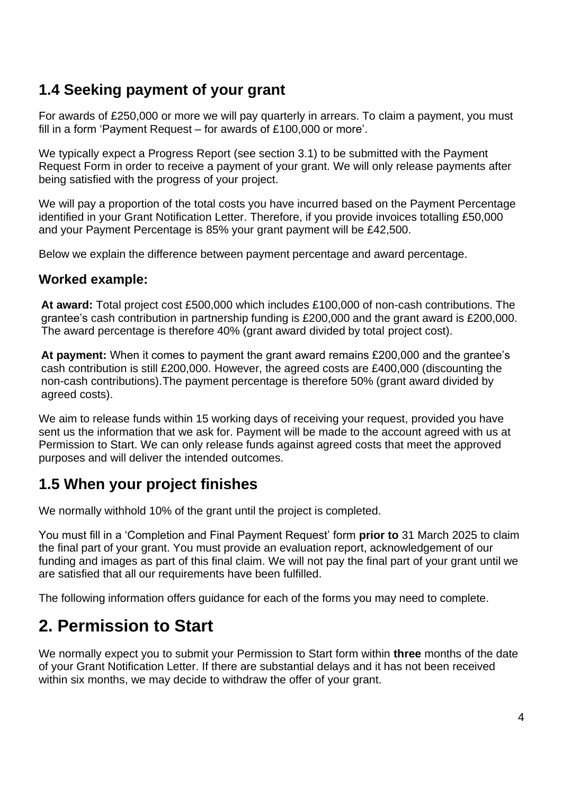## <span id="page-4-0"></span>**1.4 Seeking payment of your grant**

For awards of £250,000 or more we will pay quarterly in arrears. To claim a payment, you must fill in a form 'Payment Request – for awards of £100,000 or more'.

We typically expect a Progress Report (see section 3.1) to be submitted with the Payment Request Form in order to receive a payment of your grant. We will only release payments after being satisfied with the progress of your project.

We will pay a proportion of the total costs you have incurred based on the Payment Percentage identified in your Grant Notification Letter. Therefore, if you provide invoices totalling £50,000 and your Payment Percentage is 85% your grant payment will be £42,500.

Below we explain the difference between payment percentage and award percentage.

#### **Worked example:**

**At award:** Total project cost £500,000 which includes £100,000 of non-cash contributions. The grantee's cash contribution in partnership funding is £200,000 and the grant award is £200,000. The award percentage is therefore 40% (grant award divided by total project cost).

**At payment:** When it comes to payment the grant award remains £200,000 and the grantee's cash contribution is still £200,000. However, the agreed costs are £400,000 (discounting the non-cash contributions).The payment percentage is therefore 50% (grant award divided by agreed costs).

We aim to release funds within 15 working days of receiving your request, provided you have sent us the information that we ask for. Payment will be made to the account agreed with us at Permission to Start. We can only release funds against agreed costs that meet the approved purposes and will deliver the intended outcomes.

## <span id="page-4-1"></span>**1.5 When your project finishes**

We normally withhold 10% of the grant until the project is completed.

You must fill in a 'Completion and Final Payment Request' form **prior to** 31 March 2025 to claim the final part of your grant. You must provide an evaluation report, acknowledgement of our funding and images as part of this final claim. We will not pay the final part of your grant until we are satisfied that all our requirements have been fulfilled.

The following information offers guidance for each of the forms you may need to complete.

## <span id="page-4-2"></span>**2. Permission to Start**

We normally expect you to submit your Permission to Start form within **three** months of the date of your Grant Notification Letter. If there are substantial delays and it has not been received within six months, we may decide to withdraw the offer of your grant.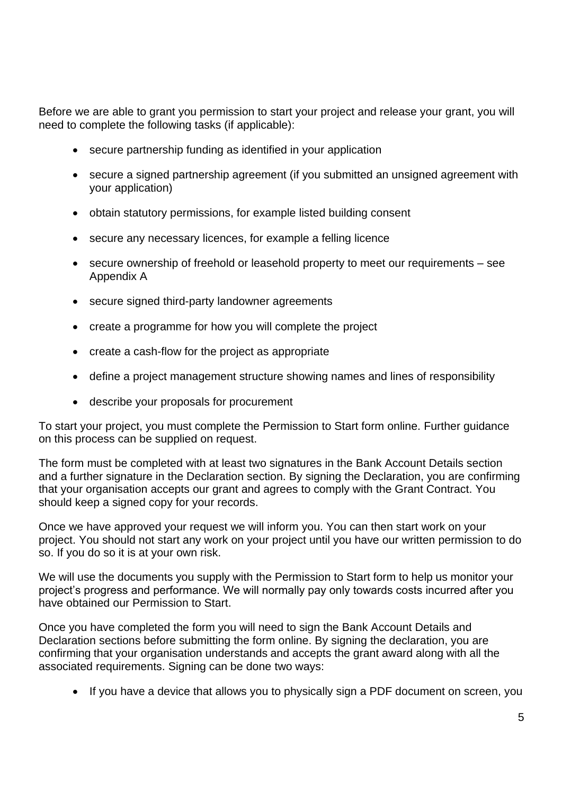Before we are able to grant you permission to start your project and release your grant, you will need to complete the following tasks (if applicable):

- secure partnership funding as identified in your application
- secure a signed partnership agreement (if you submitted an unsigned agreement with your application)
- obtain statutory permissions, for example listed building consent
- secure any necessary licences, for example a felling licence
- secure ownership of freehold or leasehold property to meet our requirements see Appendix A
- secure signed third-party landowner agreements
- create a programme for how you will complete the project
- create a cash-flow for the project as appropriate
- define a project management structure showing names and lines of responsibility
- describe your proposals for procurement

To start your project, you must complete the Permission to Start form online. Further guidance on this process can be supplied on request.

The form must be completed with at least two signatures in the Bank Account Details section and a further signature in the Declaration section. By signing the Declaration, you are confirming that your organisation accepts our grant and agrees to comply with the Grant Contract. You should keep a signed copy for your records.

Once we have approved your request we will inform you. You can then start work on your project. You should not start any work on your project until you have our written permission to do so. If you do so it is at your own risk.

We will use the documents you supply with the Permission to Start form to help us monitor your project's progress and performance. We will normally pay only towards costs incurred after you have obtained our Permission to Start.

Once you have completed the form you will need to sign the Bank Account Details and Declaration sections before submitting the form online. By signing the declaration, you are confirming that your organisation understands and accepts the grant award along with all the associated requirements. Signing can be done two ways:

• If you have a device that allows you to physically sign a PDF document on screen, you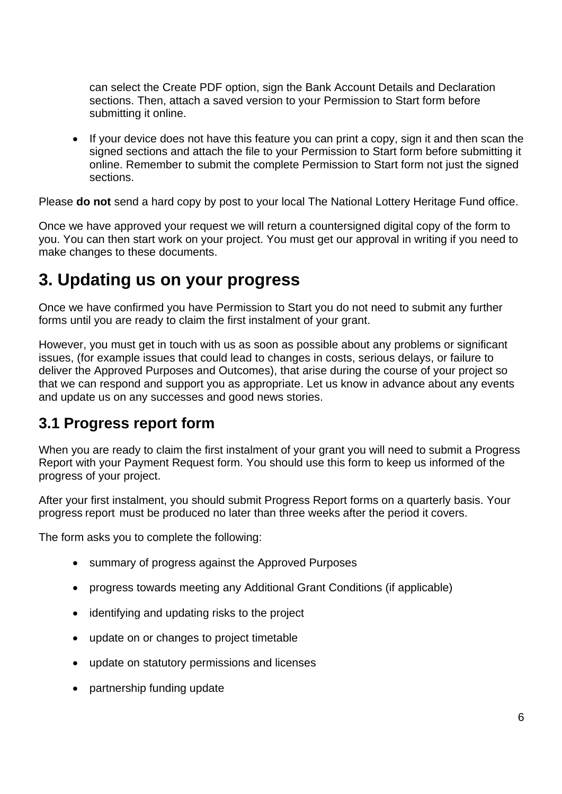can select the Create PDF option, sign the Bank Account Details and Declaration sections. Then, attach a saved version to your Permission to Start form before submitting it online.

If your device does not have this feature you can print a copy, sign it and then scan the signed sections and attach the file to your Permission to Start form before submitting it online. Remember to submit the complete Permission to Start form not just the signed sections.

Please **do not** send a hard copy by post to your local The National Lottery Heritage Fund office.

Once we have approved your request we will return a countersigned digital copy of the form to you. You can then start work on your project. You must get our approval in writing if you need to make changes to these documents.

## <span id="page-6-0"></span>**3. Updating us on your progress**

Once we have confirmed you have Permission to Start you do not need to submit any further forms until you are ready to claim the first instalment of your grant.

However, you must get in touch with us as soon as possible about any problems or significant issues, (for example issues that could lead to changes in costs, serious delays, or failure to deliver the Approved Purposes and Outcomes), that arise during the course of your project so that we can respond and support you as appropriate. Let us know in advance about any events and update us on any successes and good news stories.

## <span id="page-6-1"></span>**3.1 Progress report form**

When you are ready to claim the first instalment of your grant you will need to submit a Progress Report with your Payment Request form. You should use this form to keep us informed of the progress of your project.

After your first instalment, you should submit Progress Report forms on a quarterly basis. Your progress report must be produced no later than three weeks after the period it covers.

The form asks you to complete the following:

- summary of progress against the Approved Purposes
- progress towards meeting any Additional Grant Conditions (if applicable)
- identifying and updating risks to the project
- update on or changes to project timetable
- update on statutory permissions and licenses
- partnership funding update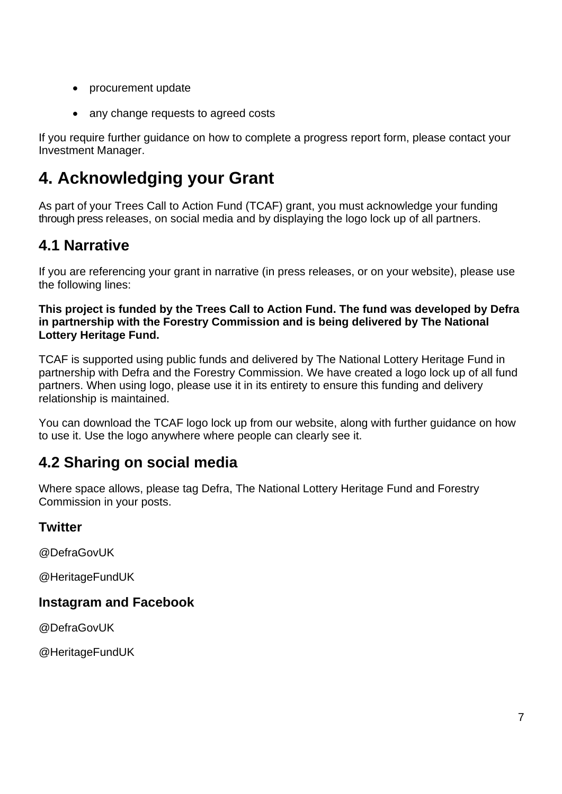- procurement update
- any change requests to agreed costs

If you require further guidance on how to complete a progress report form, please contact your Investment Manager.

# <span id="page-7-0"></span>**4. Acknowledging your Grant**

As part of your Trees Call to Action Fund (TCAF) grant, you must acknowledge your funding through press releases, on social media and by displaying the logo lock up of all partners.

## <span id="page-7-1"></span>**4.1 Narrative**

If you are referencing your grant in narrative (in press releases, or on your website), please use the following lines:

**This project is funded by the Trees Call to Action Fund. The fund was developed by Defra in partnership with the Forestry Commission and is being delivered by The National Lottery Heritage Fund.**

TCAF is supported using public funds and delivered by The National Lottery Heritage Fund in partnership with Defra and the Forestry Commission. We have created a logo lock up of all fund partners. When using logo, please use it in its entirety to ensure this funding and delivery relationship is maintained.

You can download the TCAF logo lock up from our website, along with further guidance on how to use it. Use the logo anywhere where people can clearly see it.

## <span id="page-7-2"></span>**4.2 Sharing on social media**

Where space allows, please tag Defra, The National Lottery Heritage Fund and Forestry Commission in your posts.

#### **Twitter**

@DefraGovUK

@HeritageFundUK

#### **Instagram and Facebook**

@DefraGovUK

@HeritageFundUK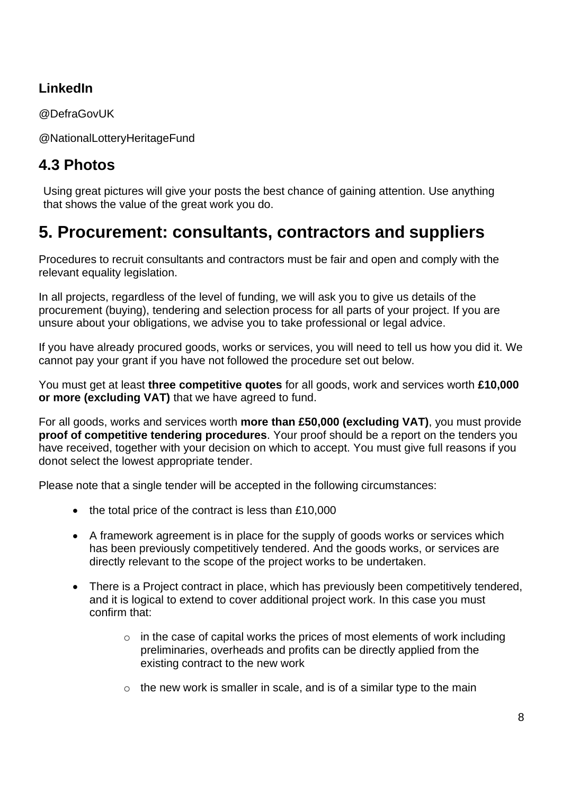#### **LinkedIn**

@DefraGovUK

@NationalLotteryHeritageFund

## <span id="page-8-0"></span>**4.3 Photos**

Using great pictures will give your posts the best chance of gaining attention. Use anything that shows the value of the great work you do.

## <span id="page-8-1"></span>**5. Procurement: consultants, contractors and suppliers**

Procedures to recruit consultants and contractors must be fair and open and comply with the relevant equality legislation.

In all projects, regardless of the level of funding, we will ask you to give us details of the procurement (buying), tendering and selection process for all parts of your project. If you are unsure about your obligations, we advise you to take professional or legal advice.

If you have already procured goods, works or services, you will need to tell us how you did it. We cannot pay your grant if you have not followed the procedure set out below.

You must get at least **three competitive quotes** for all goods, work and services worth **£10,000 or more (excluding VAT)** that we have agreed to fund.

For all goods, works and services worth **more than £50,000 (excluding VAT)**, you must provide **proof of competitive tendering procedures**. Your proof should be a report on the tenders you have received, together with your decision on which to accept. You must give full reasons if you donot select the lowest appropriate tender.

Please note that a single tender will be accepted in the following circumstances:

- the total price of the contract is less than £10,000
- A framework agreement is in place for the supply of goods works or services which has been previously competitively tendered. And the goods works, or services are directly relevant to the scope of the project works to be undertaken.
- There is a Project contract in place, which has previously been competitively tendered, and it is logical to extend to cover additional project work. In this case you must confirm that:
	- $\circ$  in the case of capital works the prices of most elements of work including preliminaries, overheads and profits can be directly applied from the existing contract to the new work
	- $\circ$  the new work is smaller in scale, and is of a similar type to the main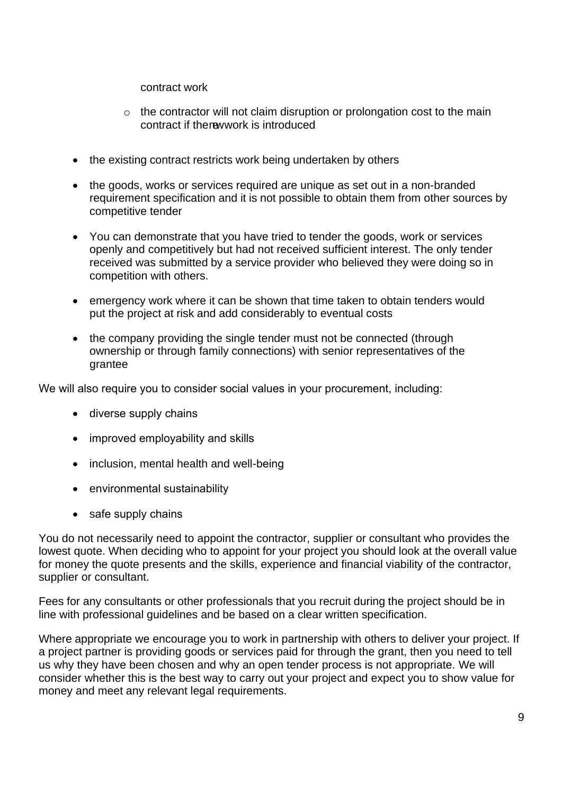contract work

- $\circ$  the contractor will not claim disruption or prolongation cost to the main contract if thenewwork is introduced
- the existing contract restricts work being undertaken by others
- the goods, works or services required are unique as set out in a non-branded requirement specification and it is not possible to obtain them from other sources by competitive tender
- You can demonstrate that you have tried to tender the goods, work or services openly and competitively but had not received sufficient interest. The only tender received was submitted by a service provider who believed they were doing so in competition with others.
- emergency work where it can be shown that time taken to obtain tenders would put the project at risk and add considerably to eventual costs
- the company providing the single tender must not be connected (through ownership or through family connections) with senior representatives of the grantee

We will also require you to consider social values in your procurement, including:

- diverse supply chains
- improved employability and skills
- inclusion, mental health and well-being
- environmental sustainability
- safe supply chains

You do not necessarily need to appoint the contractor, supplier or consultant who provides the lowest quote. When deciding who to appoint for your project you should look at the overall value for money the quote presents and the skills, experience and financial viability of the contractor, supplier or consultant.

Fees for any consultants or other professionals that you recruit during the project should be in line with professional guidelines and be based on a clear written specification.

Where appropriate we encourage you to work in partnership with others to deliver your project. If a project partner is providing goods or services paid for through the grant, then you need to tell us why they have been chosen and why an open tender process is not appropriate. We will consider whether this is the best way to carry out your project and expect you to show value for money and meet any relevant legal requirements.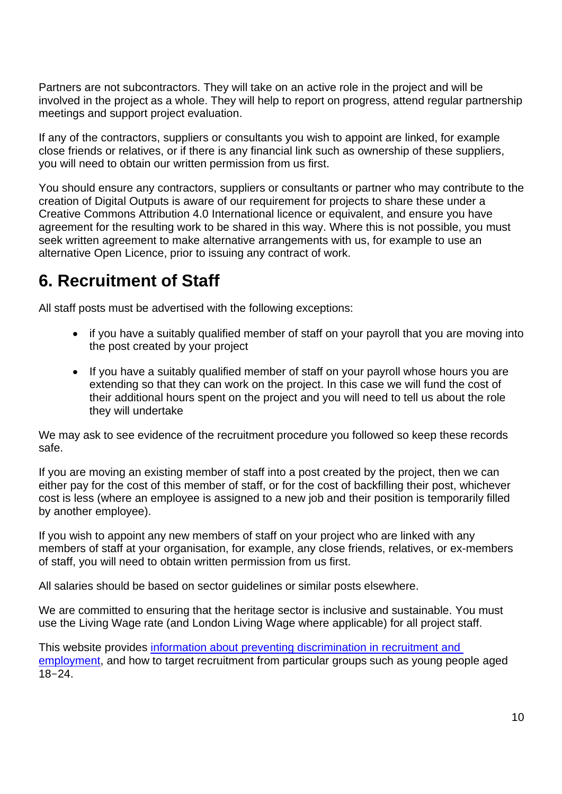Partners are not subcontractors. They will take on an active role in the project and will be involved in the project as a whole. They will help to report on progress, attend regular partnership meetings and support project evaluation.

If any of the contractors, suppliers or consultants you wish to appoint are linked, for example close friends or relatives, or if there is any financial link such as ownership of these suppliers, you will need to obtain our written permission from us first.

You should ensure any contractors, suppliers or consultants or partner who may contribute to the creation of Digital Outputs is aware of our requirement for projects to share these under a Creative Commons Attribution 4.0 International licence or equivalent, and ensure you have agreement for the resulting work to be shared in this way. Where this is not possible, you must seek written agreement to make alternative arrangements with us, for example to use an alternative Open Licence, prior to issuing any contract of work.

# <span id="page-10-0"></span>**6. Recruitment of Staff**

All staff posts must be advertised with the following exceptions:

- if you have a suitably qualified member of staff on your payroll that you are moving into the post created by your project
- If you have a suitably qualified member of staff on your payroll whose hours you are extending so that they can work on the project. In this case we will fund the cost of their additional hours spent on the project and you will need to tell us about the role they will undertake

We may ask to see evidence of the recruitment procedure you followed so keep these records safe.

If you are moving an existing member of staff into a post created by the project, then we can either pay for the cost of this member of staff, or for the cost of backfilling their post, whichever cost is less (where an employee is assigned to a new job and their position is temporarily filled by another employee).

If you wish to appoint any new members of staff on your project who are linked with any members of staff at your organisation, for example, any close friends, relatives, or ex-members of staff, you will need to obtain written permission from us first.

All salaries should be based on sector guidelines or similar posts elsewhere.

We are committed to ensuring that the heritage sector is inclusive and sustainable. You must use the Living Wage rate (and London Living Wage where applicable) for all project staff.

This website provides [information about preventing discrimination in recruitment and](https://www.gov.uk/employer-preventing-discrimination/recruitment)  [employment,](https://www.gov.uk/employer-preventing-discrimination/recruitment) and how to target recruitment from particular groups such as young people aged 18–24.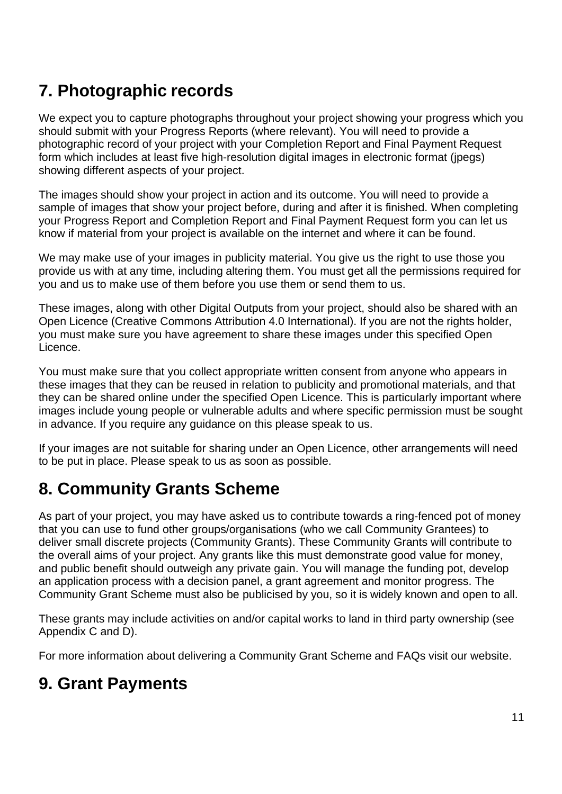# <span id="page-11-0"></span>**7. Photographic records**

We expect you to capture photographs throughout your project showing your progress which you should submit with your Progress Reports (where relevant). You will need to provide a photographic record of your project with your Completion Report and Final Payment Request form which includes at least five high-resolution digital images in electronic format (jpegs) showing different aspects of your project.

The images should show your project in action and its outcome. You will need to provide a sample of images that show your project before, during and after it is finished. When completing your Progress Report and Completion Report and Final Payment Request form you can let us know if material from your project is available on the internet and where it can be found.

We may make use of your images in publicity material. You give us the right to use those you provide us with at any time, including altering them. You must get all the permissions required for you and us to make use of them before you use them or send them to us.

These images, along with other Digital Outputs from your project, should also be shared with an Open Licence (Creative Commons Attribution 4.0 International). If you are not the rights holder, you must make sure you have agreement to share these images under this specified Open Licence.

You must make sure that you collect appropriate written consent from anyone who appears in these images that they can be reused in relation to publicity and promotional materials, and that they can be shared online under the specified Open Licence. This is particularly important where images include young people or vulnerable adults and where specific permission must be sought in advance. If you require any guidance on this please speak to us.

If your images are not suitable for sharing under an Open Licence, other arrangements will need to be put in place. Please speak to us as soon as possible.

# <span id="page-11-1"></span>**8. Community Grants Scheme**

As part of your project, you may have asked us to contribute towards a ring-fenced pot of money that you can use to fund other groups/organisations (who we call Community Grantees) to deliver small discrete projects (Community Grants). These Community Grants will contribute to the overall aims of your project. Any grants like this must demonstrate good value for money, and public benefit should outweigh any private gain. You will manage the funding pot, develop an application process with a decision panel, a grant agreement and monitor progress. The Community Grant Scheme must also be publicised by you, so it is widely known and open to all.

These grants may include activities on and/or capital works to land in third party ownership (see Appendix C and D).

For more information about delivering a Community Grant Scheme and FAQs visit our website.

# <span id="page-11-2"></span>**9. Grant Payments**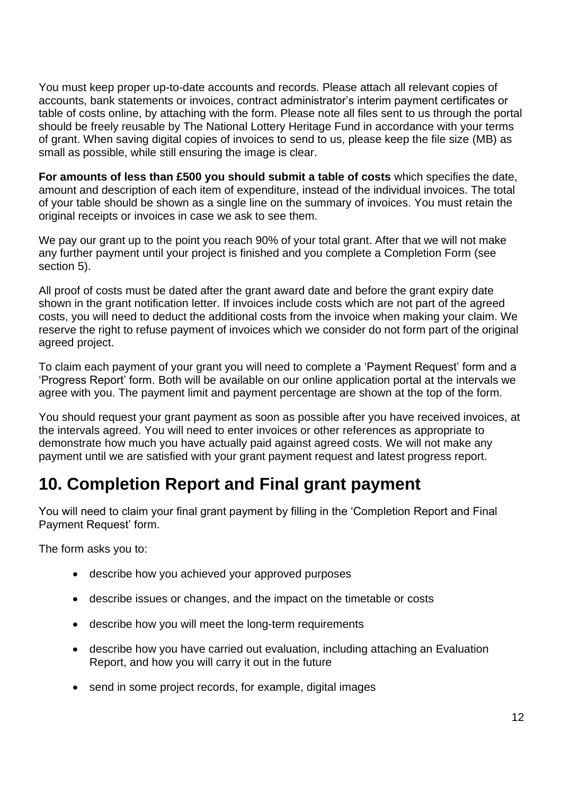You must keep proper up-to-date accounts and records. Please attach all relevant copies of accounts, bank statements or invoices, contract administrator's interim payment certificates or table of costs online, by attaching with the form. Please note all files sent to us through the portal should be freely reusable by The National Lottery Heritage Fund in accordance with your terms of grant. When saving digital copies of invoices to send to us, please keep the file size (MB) as small as possible, while still ensuring the image is clear.

**For amounts of less than £500 you should submit a table of costs** which specifies the date, amount and description of each item of expenditure, instead of the individual invoices. The total of your table should be shown as a single line on the summary of invoices. You must retain the original receipts or invoices in case we ask to see them.

We pay our grant up to the point you reach 90% of your total grant. After that we will not make any further payment until your project is finished and you complete a Completion Form (see section 5).

All proof of costs must be dated after the grant award date and before the grant expiry date shown in the grant notification letter. If invoices include costs which are not part of the agreed costs, you will need to deduct the additional costs from the invoice when making your claim. We reserve the right to refuse payment of invoices which we consider do not form part of the original agreed project.

To claim each payment of your grant you will need to complete a 'Payment Request' form and a 'Progress Report' form. Both will be available on our online application portal at the intervals we agree with you. The payment limit and payment percentage are shown at the top of the form.

You should request your grant payment as soon as possible after you have received invoices, at the intervals agreed. You will need to enter invoices or other references as appropriate to demonstrate how much you have actually paid against agreed costs. We will not make any payment until we are satisfied with your grant payment request and latest progress report.

# <span id="page-12-0"></span>**10. Completion Report and Final grant payment**

You will need to claim your final grant payment by filling in the 'Completion Report and Final Payment Request' form.

The form asks you to:

- describe how you achieved your approved purposes
- describe issues or changes, and the impact on the timetable or costs
- describe how you will meet the long-term requirements
- describe how you have carried out evaluation, including attaching an Evaluation Report, and how you will carry it out in the future
- send in some project records, for example, digital images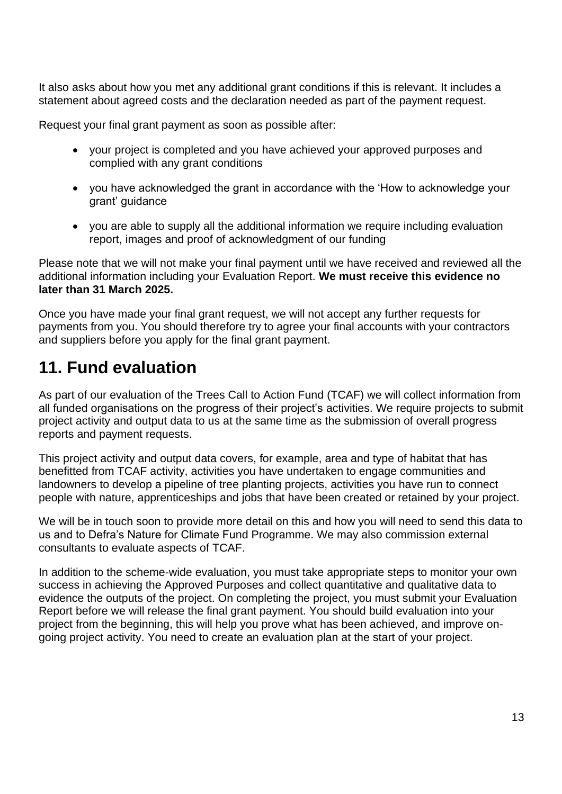It also asks about how you met any additional grant conditions if this is relevant. It includes a statement about agreed costs and the declaration needed as part of the payment request.

Request your final grant payment as soon as possible after:

- your project is completed and you have achieved your approved purposes and complied with any grant conditions
- you have acknowledged the grant in accordance with the 'How to acknowledge your grant' guidance
- you are able to supply all the additional information we require including evaluation report, images and proof of acknowledgment of our funding

Please note that we will not make your final payment until we have received and reviewed all the additional information including your Evaluation Report. **We must receive this evidence no later than 31 March 2025.**

Once you have made your final grant request, we will not accept any further requests for payments from you. You should therefore try to agree your final accounts with your contractors and suppliers before you apply for the final grant payment.

# <span id="page-13-0"></span>**11. Fund evaluation**

As part of our evaluation of the Trees Call to Action Fund (TCAF) we will collect information from all funded organisations on the progress of their project's activities. We require projects to submit project activity and output data to us at the same time as the submission of overall progress reports and payment requests.

This project activity and output data covers, for example, area and type of habitat that has benefitted from TCAF activity, activities you have undertaken to engage communities and landowners to develop a pipeline of tree planting projects, activities you have run to connect people with nature, apprenticeships and jobs that have been created or retained by your project.

We will be in touch soon to provide more detail on this and how you will need to send this data to us and to Defra's Nature for Climate Fund Programme. We may also commission external consultants to evaluate aspects of TCAF.

In addition to the scheme-wide evaluation, you must take appropriate steps to monitor your own success in achieving the Approved Purposes and collect quantitative and qualitative data to evidence the outputs of the project. On completing the project, you must submit your Evaluation Report before we will release the final grant payment. You should build evaluation into your project from the beginning, this will help you prove what has been achieved, and improve ongoing project activity. You need to create an evaluation plan at the start of your project.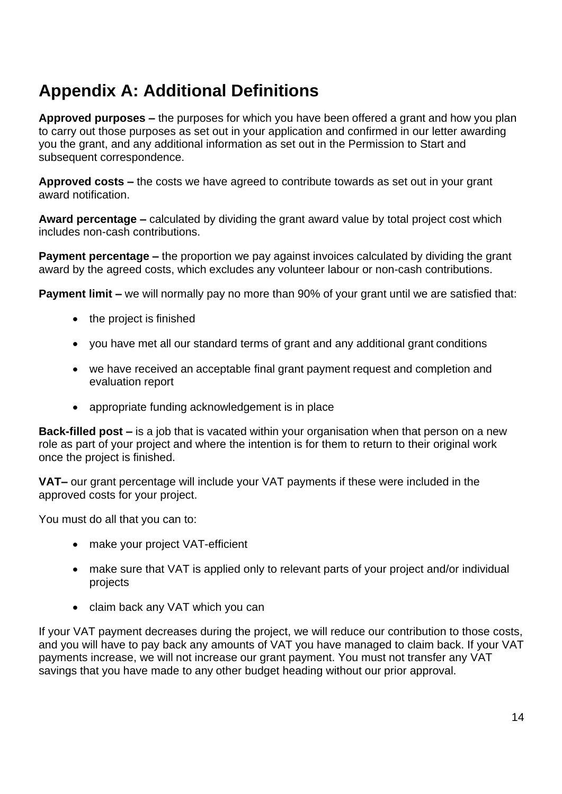# <span id="page-14-0"></span>**Appendix A: Additional Definitions**

**Approved purposes –** the purposes for which you have been offered a grant and how you plan to carry out those purposes as set out in your application and confirmed in our letter awarding you the grant, and any additional information as set out in the Permission to Start and subsequent correspondence.

**Approved costs –** the costs we have agreed to contribute towards as set out in your grant award notification.

**Award percentage –** calculated by dividing the grant award value by total project cost which includes non-cash contributions.

**Payment percentage –** the proportion we pay against invoices calculated by dividing the grant award by the agreed costs, which excludes any volunteer labour or non-cash contributions.

**Payment limit –** we will normally pay no more than 90% of your grant until we are satisfied that:

- the project is finished
- you have met all our standard terms of grant and any additional grant conditions
- we have received an acceptable final grant payment request and completion and evaluation report
- appropriate funding acknowledgement is in place

**Back-filled post –** is a job that is vacated within your organisation when that person on a new role as part of your project and where the intention is for them to return to their original work once the project is finished.

**VAT–** our grant percentage will include your VAT payments if these were included in the approved costs for your project.

You must do all that you can to:

- make your project VAT-efficient
- make sure that VAT is applied only to relevant parts of your project and/or individual projects
- claim back any VAT which you can

If your VAT payment decreases during the project, we will reduce our contribution to those costs, and you will have to pay back any amounts of VAT you have managed to claim back. If your VAT payments increase, we will not increase our grant payment. You must not transfer any VAT savings that you have made to any other budget heading without our prior approval.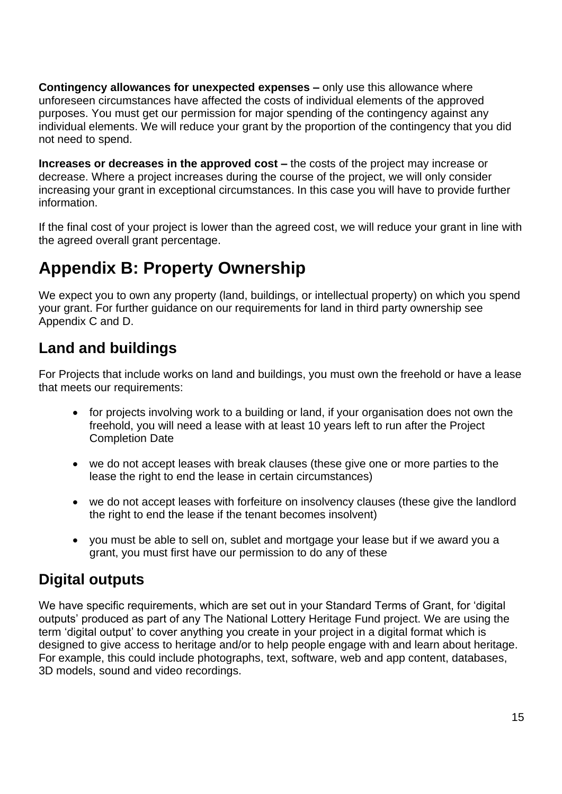**Contingency allowances for unexpected expenses –** only use this allowance where unforeseen circumstances have affected the costs of individual elements of the approved purposes. You must get our permission for major spending of the contingency against any individual elements. We will reduce your grant by the proportion of the contingency that you did not need to spend.

**Increases or decreases in the approved cost –** the costs of the project may increase or decrease. Where a project increases during the course of the project, we will only consider increasing your grant in exceptional circumstances. In this case you will have to provide further information.

If the final cost of your project is lower than the agreed cost, we will reduce your grant in line with the agreed overall grant percentage.

# <span id="page-15-0"></span>**Appendix B: Property Ownership**

We expect you to own any property (land, buildings, or intellectual property) on which you spend your grant. For further guidance on our requirements for land in third party ownership see Appendix C and D.

## <span id="page-15-1"></span>**Land and buildings**

For Projects that include works on land and buildings, you must own the freehold or have a lease that meets our requirements:

- for projects involving work to a building or land, if your organisation does not own the freehold, you will need a lease with at least 10 years left to run after the Project Completion Date
- we do not accept leases with break clauses (these give one or more parties to the lease the right to end the lease in certain circumstances)
- we do not accept leases with forfeiture on insolvency clauses (these give the landlord the right to end the lease if the tenant becomes insolvent)
- you must be able to sell on, sublet and mortgage your lease but if we award you a grant, you must first have our permission to do any of these

## <span id="page-15-2"></span>**Digital outputs**

We have specific requirements, which are set out in your Standard Terms of Grant, for 'digital outputs' produced as part of any The National Lottery Heritage Fund project. We are using the term 'digital output' to cover anything you create in your project in a digital format which is designed to give access to heritage and/or to help people engage with and learn about heritage. For example, this could include photographs, text, software, web and app content, databases, 3D models, sound and video recordings.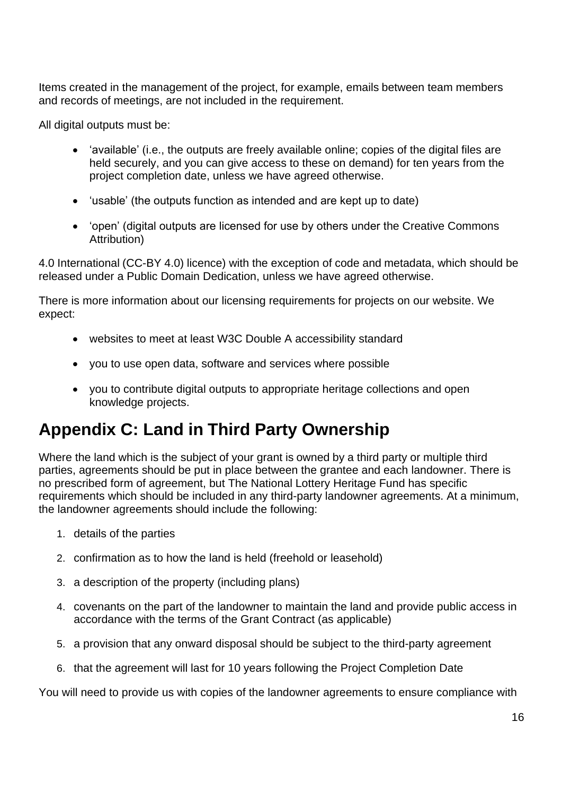Items created in the management of the project, for example, emails between team members and records of meetings, are not included in the requirement.

All digital outputs must be:

- 'available' (i.e., the outputs are freely available online; copies of the digital files are held securely, and you can give access to these on demand) for ten years from the project completion date, unless we have agreed otherwise.
- 'usable' (the outputs function as intended and are kept up to date)
- 'open' (digital outputs are licensed for use by others under the Creative Commons Attribution)

4.0 International (CC-BY 4.0) licence) with the exception of code and metadata, which should be released under a Public Domain Dedication, unless we have agreed otherwise.

There is more information about our licensing requirements for projects on our website. We expect:

- websites to meet at least W3C Double A accessibility standard
- you to use open data, software and services where possible
- you to contribute digital outputs to appropriate heritage collections and open knowledge projects.

# <span id="page-16-0"></span>**Appendix C: Land in Third Party Ownership**

Where the land which is the subject of your grant is owned by a third party or multiple third parties, agreements should be put in place between the grantee and each landowner. There is no prescribed form of agreement, but The National Lottery Heritage Fund has specific requirements which should be included in any third-party landowner agreements. At a minimum, the landowner agreements should include the following:

- 1. details of the parties
- 2. confirmation as to how the land is held (freehold or leasehold)
- 3. a description of the property (including plans)
- 4. covenants on the part of the landowner to maintain the land and provide public access in accordance with the terms of the Grant Contract (as applicable)
- 5. a provision that any onward disposal should be subject to the third-party agreement
- 6. that the agreement will last for 10 years following the Project Completion Date

You will need to provide us with copies of the landowner agreements to ensure compliance with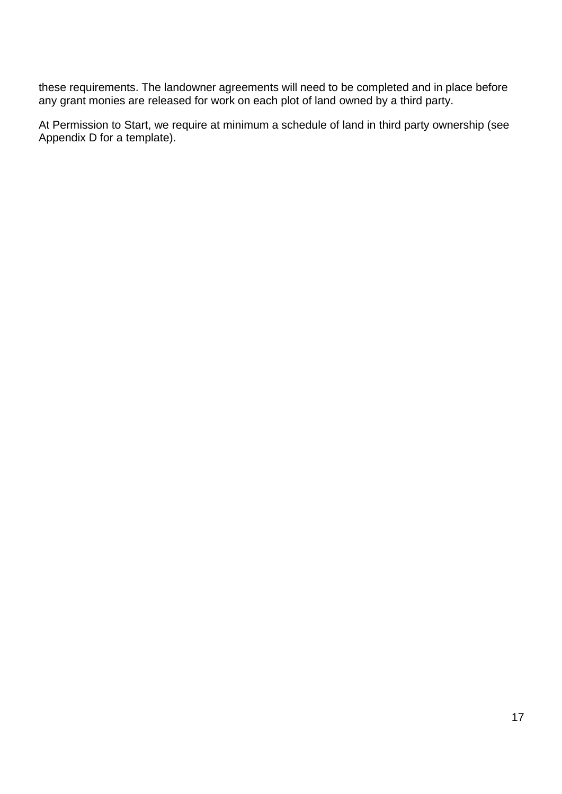these requirements. The landowner agreements will need to be completed and in place before any grant monies are released for work on each plot of land owned by a third party.

At Permission to Start, we require at minimum a schedule of land in third party ownership (see Appendix D for a template).